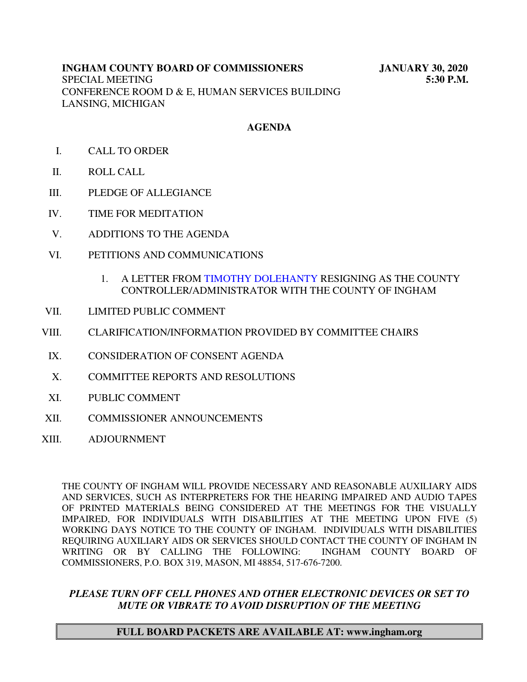# **INGHAM COUNTY BOARD OF COMMISSIONERS JANUARY 30, 2020** SPECIAL MEETING **5:30 P.M.** CONFERENCE ROOM D & E, HUMAN SERVICES BUILDING LANSING, MICHIGAN

# **AGENDA**

- I. CALL TO ORDER
- II. ROLL CALL
- III. PLEDGE OF ALLEGIANCE
- IV. TIME FOR MEDITATION
- V. ADDITIONS TO THE AGENDA
- VI. PETITIONS AND COMMUNICATIONS
	- 1. A LETTER FROM [TIMOTHY DOLEHANTY RESI](#page-1-0)GNING AS THE COUNTY CONTROLLER/ADMINISTRATOR WITH THE COUNTY OF INGHAM
- VII. LIMITED PUBLIC COMMENT
- VIII. CLARIFICATION/INFORMATION PROVIDED BY COMMITTEE CHAIRS
	- IX. CONSIDERATION OF CONSENT AGENDA
	- X. COMMITTEE REPORTS AND RESOLUTIONS
	- XI. PUBLIC COMMENT
- XII. COMMISSIONER ANNOUNCEMENTS
- XIII. ADJOURNMENT

THE COUNTY OF INGHAM WILL PROVIDE NECESSARY AND REASONABLE AUXILIARY AIDS AND SERVICES, SUCH AS INTERPRETERS FOR THE HEARING IMPAIRED AND AUDIO TAPES OF PRINTED MATERIALS BEING CONSIDERED AT THE MEETINGS FOR THE VISUALLY IMPAIRED, FOR INDIVIDUALS WITH DISABILITIES AT THE MEETING UPON FIVE (5) WORKING DAYS NOTICE TO THE COUNTY OF INGHAM. INDIVIDUALS WITH DISABILITIES REQUIRING AUXILIARY AIDS OR SERVICES SHOULD CONTACT THE COUNTY OF INGHAM IN WRITING OR BY CALLING THE FOLLOWING: INGHAM COUNTY BOARD OF COMMISSIONERS, P.O. BOX 319, MASON, MI 48854, 517-676-7200.

# *PLEASE TURN OFF CELL PHONES AND OTHER ELECTRONIC DEVICES OR SET TO MUTE OR VIBRATE TO AVOID DISRUPTION OF THE MEETING*

#### **FULL BOARD PACKETS ARE AVAILABLE AT: www.ingham.org**